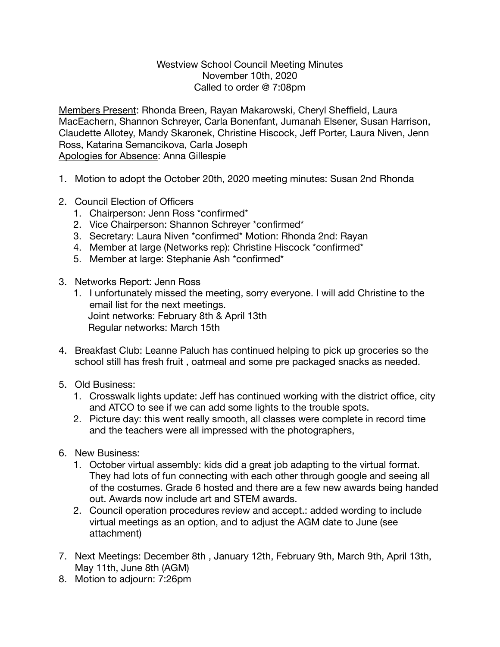## Westview School Council Meeting Minutes November 10th, 2020 Called to order @ 7:08pm

Members Present: Rhonda Breen, Rayan Makarowski, Cheryl Sheffield, Laura MacEachern, Shannon Schreyer, Carla Bonenfant, Jumanah Elsener, Susan Harrison, Claudette Allotey, Mandy Skaronek, Christine Hiscock, Jeff Porter, Laura Niven, Jenn Ross, Katarina Semancikova, Carla Joseph Apologies for Absence: Anna Gillespie

- 1. Motion to adopt the October 20th, 2020 meeting minutes: Susan 2nd Rhonda
- 2. Council Election of Officers
	- 1. Chairperson: Jenn Ross \*confirmed\*
	- 2. Vice Chairperson: Shannon Schreyer \*confirmed\*
	- 3. Secretary: Laura Niven \*confirmed\* Motion: Rhonda 2nd: Rayan
	- 4. Member at large (Networks rep): Christine Hiscock \*confirmed\*
	- 5. Member at large: Stephanie Ash \*confirmed\*
- 3. Networks Report: Jenn Ross
	- 1. I unfortunately missed the meeting, sorry everyone. I will add Christine to the email list for the next meetings. Joint networks: February 8th & April 13th Regular networks: March 15th
- 4. Breakfast Club: Leanne Paluch has continued helping to pick up groceries so the school still has fresh fruit , oatmeal and some pre packaged snacks as needed.
- 5. Old Business:
	- 1. Crosswalk lights update: Jeff has continued working with the district office, city and ATCO to see if we can add some lights to the trouble spots.
	- 2. Picture day: this went really smooth, all classes were complete in record time and the teachers were all impressed with the photographers,
- 6. New Business:
	- 1. October virtual assembly: kids did a great job adapting to the virtual format. They had lots of fun connecting with each other through google and seeing all of the costumes. Grade 6 hosted and there are a few new awards being handed out. Awards now include art and STEM awards.
	- 2. Council operation procedures review and accept.: added wording to include virtual meetings as an option, and to adjust the AGM date to June (see attachment)
- 7. Next Meetings: December 8th , January 12th, February 9th, March 9th, April 13th, May 11th, June 8th (AGM)
- 8. Motion to adjourn: 7:26pm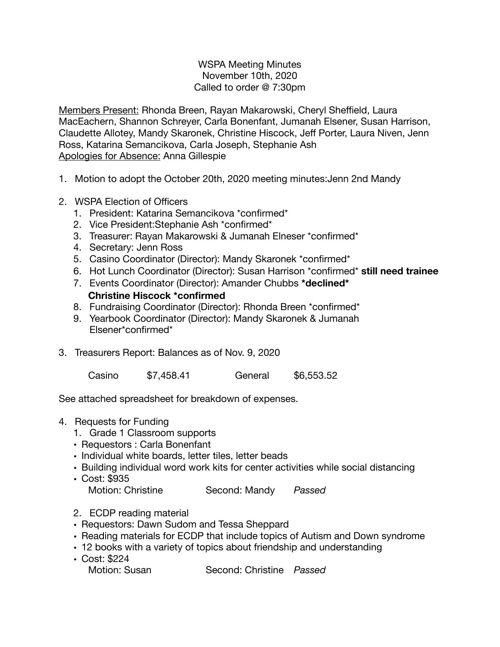## WSPA Meeting Minutes November 10th, 2020 Called to order @ 7:30pm

Members Present: Rhonda Breen, Rayan Makarowski, Cheryl Sheffield, Laura MacEachern, Shannon Schreyer, Carla Bonenfant, Jumanah Elsener, Susan Harrison, Claudette Allotey, Mandy Skaronek, Christine Hiscock, Jeff Porter, Laura Niven, Jenn Ross, Katarina Semancikova, Carla Joseph, Stephanie Ash Apologies for Absence: Anna Gillespie

- 1. Motion to adopt the October 20th, 2020 meeting minutes:Jenn 2nd Mandy
- 2. WSPA Election of Officers
	- 1. President: Katarina Semancikova \*confirmed\*
	- 2. Vice President:Stephanie Ash \*confirmed\*
	- 3. Treasurer: Rayan Makarowski & Jumanah Elneser \*confirmed\*
	- 4. Secretary: Jenn Ross
	- 5. Casino Coordinator (Director): Mandy Skaronek \*confirmed\*
	- 6. Hot Lunch Coordinator (Director): Susan Harrison \*confirmed\* **still need trainee**
	- 7. Events Coordinator (Director): Amander Chubbs **\*declined\* Christine Hiscock \*confirmed**
	- 8. Fundraising Coordinator (Director): Rhonda Breen \*confirmed\*
	- 9. Yearbook Coordinator (Director): Mandy Skaronek & Jumanah Elsener\*confirmed\*
- 3. Treasurers Report: Balances as of Nov. 9, 2020

Casino \$7,458.41 General \$6,553.52

See attached spreadsheet for breakdown of expenses.

- 4. Requests for Funding
	- 1. Grade 1 Classroom supports
	- Requestors : Carla Bonenfant
	- Individual white boards, letter tiles, letter beads
	- Building individual word work kits for center activities while social distancing
	- Cost: \$935 Second: Mandy *Passed*
	- 2. ECDP reading material
	- Requestors: Dawn Sudom and Tessa Sheppard
	- Reading materials for ECDP that include topics of Autism and Down syndrome
	- 12 books with a variety of topics about friendship and understanding
	- Cost: \$224

Motion: Susan **Second: Christine** *Passed*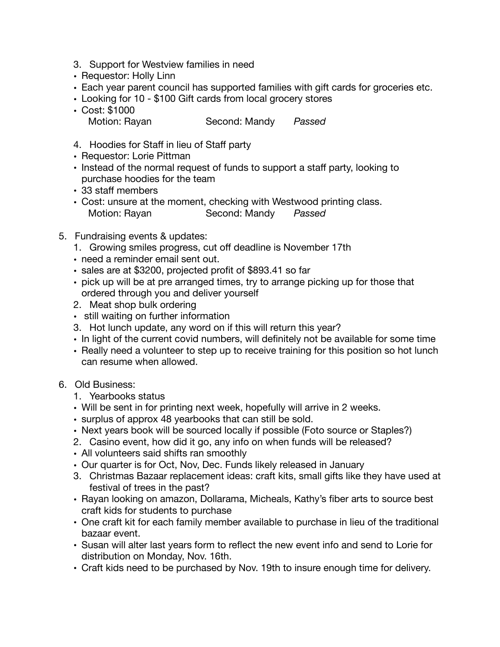- 3. Support for Westview families in need
- Requestor: Holly Linn
- Each year parent council has supported families with gift cards for groceries etc.
- Looking for 10 \$100 Gift cards from local grocery stores
- Cost: \$1000 Motion: Rayan **Second: Mandy** *Passed*
- 4. Hoodies for Staff in lieu of Staff party
- Requestor: Lorie Pittman
- Instead of the normal request of funds to support a staff party, looking to purchase hoodies for the team
- 33 staff members
- Cost: unsure at the moment, checking with Westwood printing class. Motion: Rayan **Second: Mandy** *Passed*
- 5. Fundraising events & updates:
	- 1. Growing smiles progress, cut off deadline is November 17th
	- need a reminder email sent out.
	- sales are at \$3200, projected profit of \$893.41 so far
	- pick up will be at pre arranged times, try to arrange picking up for those that ordered through you and deliver yourself
	- 2. Meat shop bulk ordering
	- still waiting on further information
	- 3. Hot lunch update, any word on if this will return this year?
	- In light of the current covid numbers, will definitely not be available for some time
	- Really need a volunteer to step up to receive training for this position so hot lunch can resume when allowed.
- 6. Old Business:
	- 1. Yearbooks status
	- Will be sent in for printing next week, hopefully will arrive in 2 weeks.
	- surplus of approx 48 yearbooks that can still be sold.
	- Next years book will be sourced locally if possible (Foto source or Staples?)
	- 2. Casino event, how did it go, any info on when funds will be released?
	- All volunteers said shifts ran smoothly
	- Our quarter is for Oct, Nov, Dec. Funds likely released in January
	- 3. Christmas Bazaar replacement ideas: craft kits, small gifts like they have used at festival of trees in the past?
	- Rayan looking on amazon, Dollarama, Micheals, Kathy's fiber arts to source best craft kids for students to purchase
	- One craft kit for each family member available to purchase in lieu of the traditional bazaar event.
	- Susan will alter last years form to reflect the new event info and send to Lorie for distribution on Monday, Nov. 16th.
	- Craft kids need to be purchased by Nov. 19th to insure enough time for delivery.